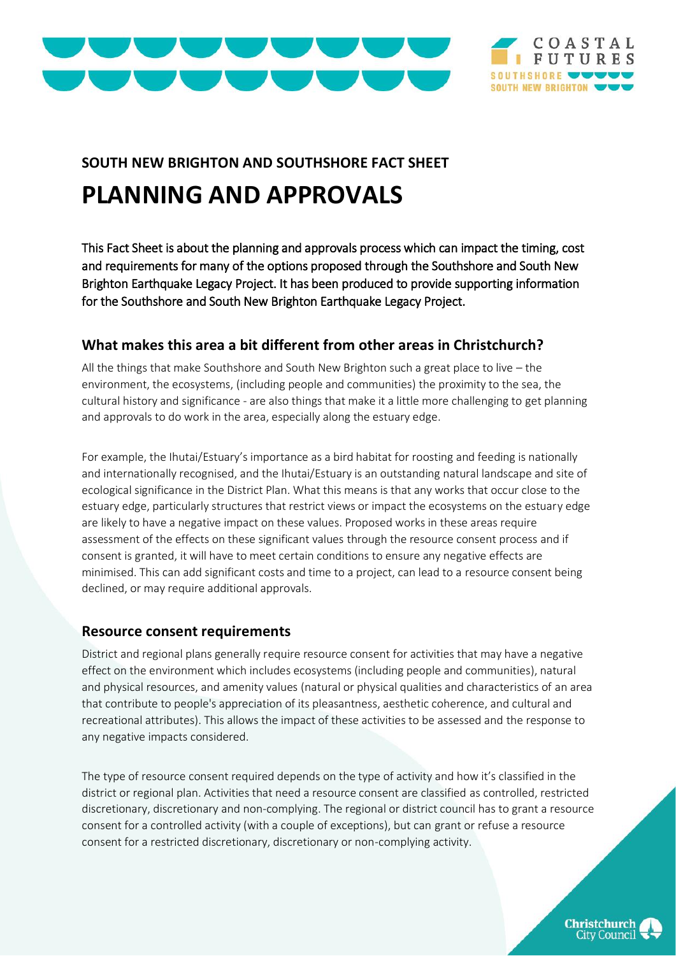



# **SOUTH NEW BRIGHTON AND SOUTHSHORE FACT SHEET**

# **PLANNING AND APPROVALS**

This Fact Sheet is about the planning and approvals process which can impact the timing, cost and requirements for many of the options proposed through the Southshore and South New Brighton Earthquake Legacy Project. It has been produced to provide supporting information for the Southshore and South New Brighton Earthquake Legacy Project.

# **What makes this area a bit different from other areas in Christchurch?**

All the things that make Southshore and South New Brighton such a great place to live – the environment, the ecosystems, (including people and communities) the proximity to the sea, the cultural history and significance - are also things that make it a little more challenging to get planning and approvals to do work in the area, especially along the estuary edge.

For example, the Ihutai/Estuary's importance as a bird habitat for roosting and feeding is nationally and internationally recognised, and the Ihutai/Estuary is an outstanding natural landscape and site of ecological significance in the District Plan. What this means is that any works that occur close to the estuary edge, particularly structures that restrict views or impact the ecosystems on the estuary edge are likely to have a negative impact on these values. Proposed works in these areas require assessment of the effects on these significant values through the resource consent process and if consent is granted, it will have to meet certain conditions to ensure any negative effects are minimised. This can add significant costs and time to a project, can lead to a resource consent being declined, or may require additional approvals.

## **Resource consent requirements**

District and regional plans generally require resource consent for activities that may have a negative effect on the environment which includes ecosystems (including people and communities), natural and physical resources, and amenity values (natural or physical qualities and characteristics of an area that contribute to people's appreciation of its pleasantness, aesthetic coherence, and cultural and recreational attributes). This allows the impact of these activities to be assessed and the response to any negative impacts considered.

The type of resource consent required depends on the type of activity and how it's classified in the district or regional plan. Activities that need a resource consent are classified as controlled, restricted discretionary, discretionary and non-complying. The regional or district council has to grant a resource consent for a controlled activity (with a couple of exceptions), but can grant or refuse a resource consent for a restricted discretionary, discretionary or non-complying activity.

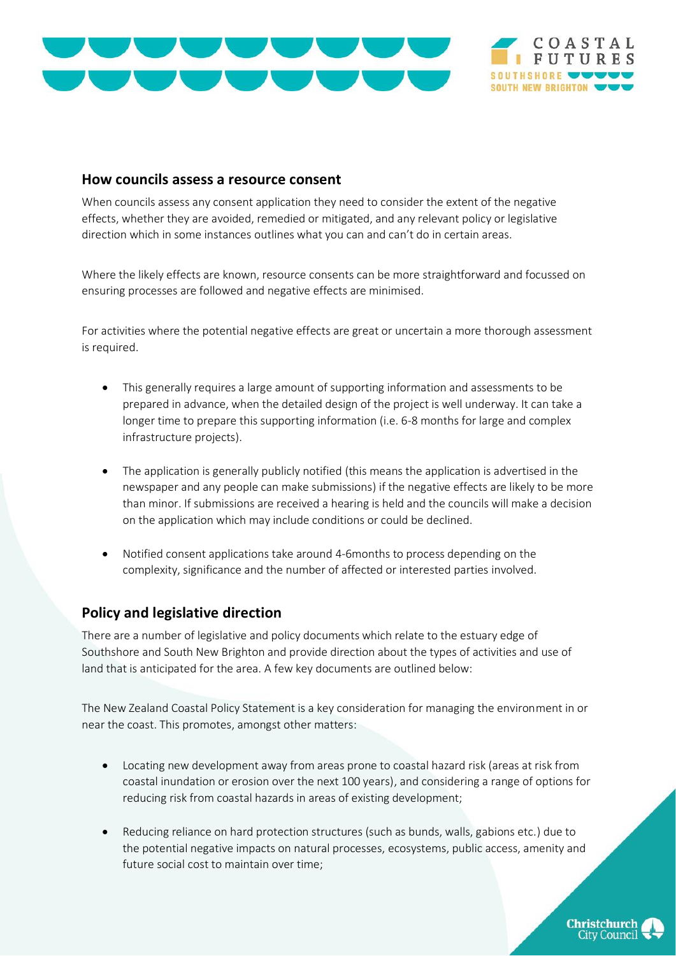

#### **How councils assess a resource consent**

When councils assess any consent application they need to consider the extent of the negative effects, whether they are avoided, remedied or mitigated, and any relevant policy or legislative direction which in some instances outlines what you can and can't do in certain areas.

Where the likely effects are known, resource consents can be more straightforward and focussed on ensuring processes are followed and negative effects are minimised.

For activities where the potential negative effects are great or uncertain a more thorough assessment is required.

- This generally requires a large amount of supporting information and assessments to be prepared in advance, when the detailed design of the project is well underway. It can take a longer time to prepare this supporting information (i.e. 6-8 months for large and complex infrastructure projects).
- The application is generally publicly notified (this means the application is advertised in the newspaper and any people can make submissions) if the negative effects are likely to be more than minor. If submissions are received a hearing is held and the councils will make a decision on the application which may include conditions or could be declined.
- Notified consent applications take around 4-6months to process depending on the complexity, significance and the number of affected or interested parties involved.

#### **Policy and legislative direction**

There are a number of legislative and policy documents which relate to the estuary edge of Southshore and South New Brighton and provide direction about the types of activities and use of land that is anticipated for the area. A few key documents are outlined below:

The New Zealand Coastal Policy Statement is a key consideration for managing the environment in or near the coast. This promotes, amongst other matters:

- Locating new development away from areas prone to coastal hazard risk (areas at risk from coastal inundation or erosion over the next 100 years), and considering a range of options for reducing risk from coastal hazards in areas of existing development;
- Reducing reliance on hard protection structures (such as bunds, walls, gabions etc.) due to the potential negative impacts on natural processes, ecosystems, public access, amenity and future social cost to maintain over time;



OASTAL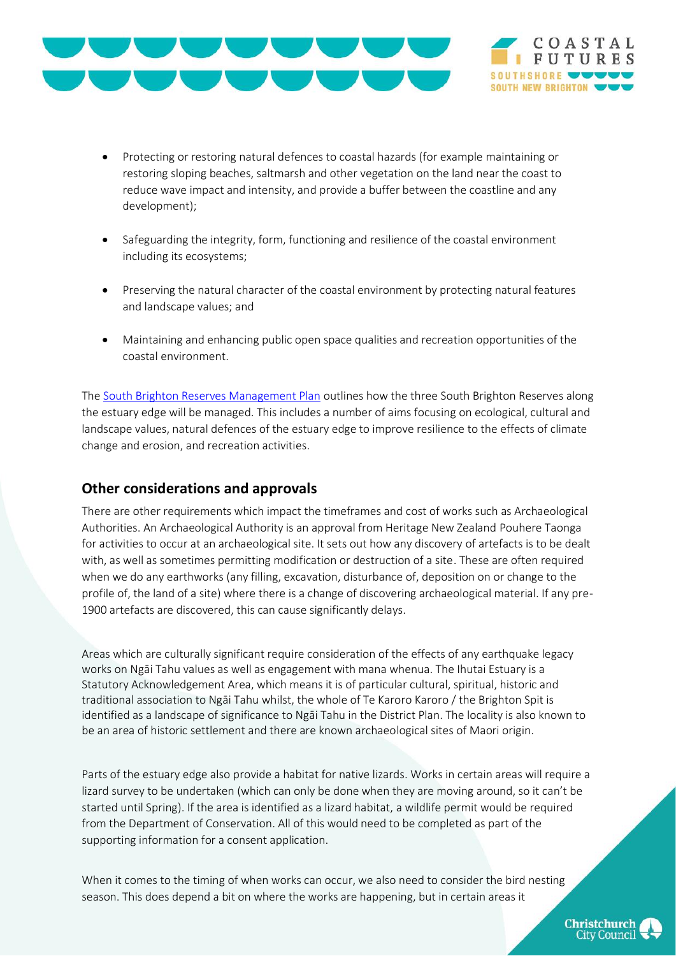



- Protecting or restoring natural defences to coastal hazards (for example maintaining or restoring sloping beaches, saltmarsh and other vegetation on the land near the coast to reduce wave impact and intensity, and provide a buffer between the coastline and any development);
- Safeguarding the integrity, form, functioning and resilience of the coastal environment including its ecosystems;
- Preserving the natural character of the coastal environment by protecting natural features and landscape values; and
- Maintaining and enhancing public open space qualities and recreation opportunities of the coastal environment.

The [South Brighton Reserves Management Plan](https://www.ccc.govt.nz/assets/Documents/The-Council/Plans-Strategies-Policies-Bylaws/Plans/Park-management-plans/SouthNewBrightonReservesManagementPlan.pdf) outlines how the three South Brighton Reserves along the estuary edge will be managed. This includes a number of aims focusing on ecological, cultural and landscape values, natural defences of the estuary edge to improve resilience to the effects of climate change and erosion, and recreation activities.

## **Other considerations and approvals**

There are other requirements which impact the timeframes and cost of works such as Archaeological Authorities. An Archaeological Authority is an approval from Heritage New Zealand Pouhere Taonga for activities to occur at an archaeological site. It sets out how any discovery of artefacts is to be dealt with, as well as sometimes permitting modification or destruction of a site. These are often required when we do any earthworks (any filling, excavation, disturbance of, deposition on or change to the profile of, the land of a site) where there is a change of discovering archaeological material. If any pre-1900 artefacts are discovered, this can cause significantly delays.

Areas which are culturally significant require consideration of the effects of any earthquake legacy works on Ngāi Tahu values as well as engagement with mana whenua. The Ihutai Estuary is a Statutory Acknowledgement Area, which means it is of particular cultural, spiritual, historic and traditional association to Ngāi Tahu whilst, the whole of Te Karoro Karoro / the Brighton Spit is identified as a landscape of significance to Ngāi Tahu in the District Plan. The locality is also known to be an area of historic settlement and there are known archaeological sites of Maori origin.

Parts of the estuary edge also provide a habitat for native lizards. Works in certain areas will require a lizard survey to be undertaken (which can only be done when they are moving around, so it can't be started until Spring). If the area is identified as a lizard habitat, a wildlife permit would be required from the Department of Conservation. All of this would need to be completed as part of the supporting information for a consent application.

When it comes to the timing of when works can occur, we also need to consider the bird nesting season. This does depend a bit on where the works are happening, but in certain areas it